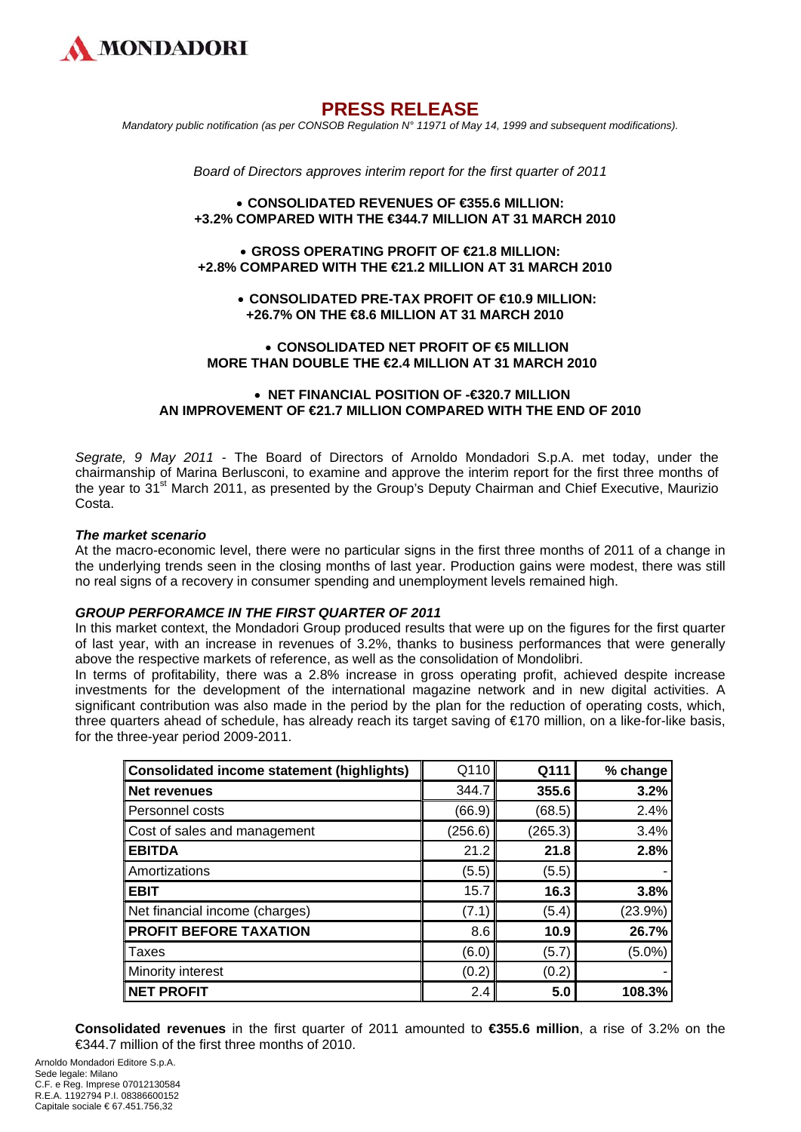

# **PRESS RELEASE**

*Mandatory public notification (as per CONSOB Regulation N° 11971 of May 14, 1999 and subsequent modifications).* 

*Board of Directors approves interim report for the first quarter of 2011* 

## • **CONSOLIDATED REVENUES OF €355.6 MILLION: +3.2% COMPARED WITH THE €344.7 MILLION AT 31 MARCH 2010**

## • **GROSS OPERATING PROFIT OF €21.8 MILLION: +2.8% COMPARED WITH THE €21.2 MILLION AT 31 MARCH 2010**

## • **CONSOLIDATED PRE-TAX PROFIT OF €10.9 MILLION: +26.7% ON THE €8.6 MILLION AT 31 MARCH 2010**

### • **CONSOLIDATED NET PROFIT OF €5 MILLION MORE THAN DOUBLE THE €2.4 MILLION AT 31 MARCH 2010**

### • **NET FINANCIAL POSITION OF -€320.7 MILLION AN IMPROVEMENT OF €21.7 MILLION COMPARED WITH THE END OF 2010**

*Segrate, 9 May 2011* - The Board of Directors of Arnoldo Mondadori S.p.A. met today, under the chairmanship of Marina Berlusconi, to examine and approve the interim report for the first three months of the year to 31<sup>st</sup> March 2011, as presented by the Group's Deputy Chairman and Chief Executive, Maurizio Costa.

#### *The market scenario*

At the macro-economic level, there were no particular signs in the first three months of 2011 of a change in the underlying trends seen in the closing months of last year. Production gains were modest, there was still no real signs of a recovery in consumer spending and unemployment levels remained high.

## *GROUP PERFORAMCE IN THE FIRST QUARTER OF 2011*

In this market context, the Mondadori Group produced results that were up on the figures for the first quarter of last year, with an increase in revenues of 3.2%, thanks to business performances that were generally above the respective markets of reference, as well as the consolidation of Mondolibri.

In terms of profitability, there was a 2.8% increase in gross operating profit, achieved despite increase investments for the development of the international magazine network and in new digital activities. A significant contribution was also made in the period by the plan for the reduction of operating costs, which, three quarters ahead of schedule, has already reach its target saving of €170 million, on a like-for-like basis, for the three-year period 2009-2011.

| <b>Consolidated income statement (highlights)</b> | Q110    | Q111    | % change  |
|---------------------------------------------------|---------|---------|-----------|
| <b>Net revenues</b>                               | 344.7   | 355.6   | 3.2%      |
| Personnel costs                                   | (66.9)  | (68.5)  | 2.4%      |
| Cost of sales and management                      | (256.6) | (265.3) | 3.4%      |
| <b>EBITDA</b>                                     | 21.2    | 21.8    | 2.8%      |
| Amortizations                                     | (5.5)   | (5.5)   |           |
| <b>EBIT</b>                                       | 15.7    | 16.3    | 3.8%      |
| Net financial income (charges)                    | (7.1)   | (5.4)   | (23.9%)   |
| <b>PROFIT BEFORE TAXATION</b>                     | 8.6     | 10.9    | 26.7%     |
| <b>Taxes</b>                                      | (6.0)   | (5.7)   | $(5.0\%)$ |
| Minority interest                                 | (0.2)   | (0.2)   |           |
| <b>NET PROFIT</b>                                 | 2.4     | 5.0     | 108.3%    |

**Consolidated revenues** in the first quarter of 2011 amounted to **€355.6 million**, a rise of 3.2% on the €344.7 million of the first three months of 2010.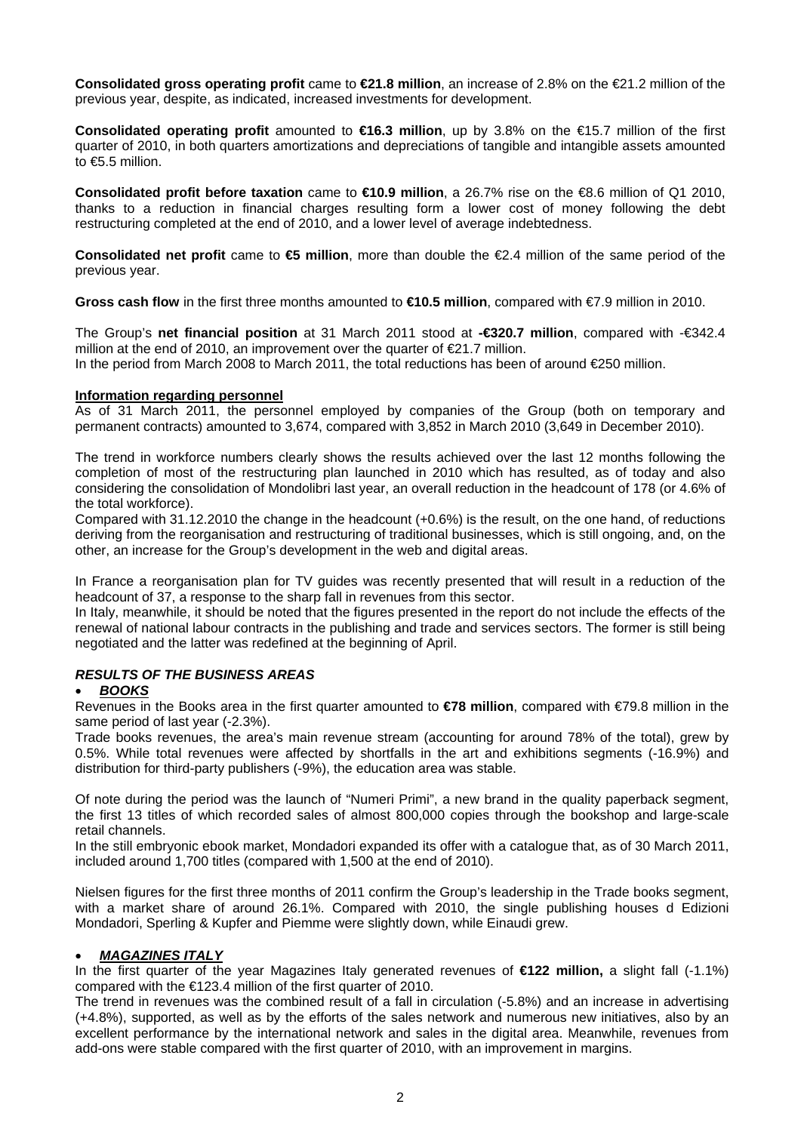**Consolidated gross operating profit** came to **€21.8 million**, an increase of 2.8% on the €21.2 million of the previous year, despite, as indicated, increased investments for development.

**Consolidated operating profit** amounted to **€16.3 million**, up by 3.8% on the €15.7 million of the first quarter of 2010, in both quarters amortizations and depreciations of tangible and intangible assets amounted to €5.5 million.

**Consolidated profit before taxation** came to **€10.9 million**, a 26.7% rise on the €8.6 million of Q1 2010, thanks to a reduction in financial charges resulting form a lower cost of money following the debt restructuring completed at the end of 2010, and a lower level of average indebtedness.

**Consolidated net profit** came to **€5 million**, more than double the €2.4 million of the same period of the previous year.

**Gross cash flow** in the first three months amounted to **€10.5 million**, compared with €7.9 million in 2010.

The Group's **net financial position** at 31 March 2011 stood at **-€320.7 million**, compared with -€342.4 million at the end of 2010, an improvement over the quarter of  $\epsilon$ 21.7 million.

In the period from March 2008 to March 2011, the total reductions has been of around €250 million.

### **Information regarding personnel**

As of 31 March 2011, the personnel employed by companies of the Group (both on temporary and permanent contracts) amounted to 3,674, compared with 3,852 in March 2010 (3,649 in December 2010).

The trend in workforce numbers clearly shows the results achieved over the last 12 months following the completion of most of the restructuring plan launched in 2010 which has resulted, as of today and also considering the consolidation of Mondolibri last year, an overall reduction in the headcount of 178 (or 4.6% of the total workforce).

Compared with 31.12.2010 the change in the headcount (+0.6%) is the result, on the one hand, of reductions deriving from the reorganisation and restructuring of traditional businesses, which is still ongoing, and, on the other, an increase for the Group's development in the web and digital areas.

In France a reorganisation plan for TV guides was recently presented that will result in a reduction of the headcount of 37, a response to the sharp fall in revenues from this sector.

In Italy, meanwhile, it should be noted that the figures presented in the report do not include the effects of the renewal of national labour contracts in the publishing and trade and services sectors. The former is still being negotiated and the latter was redefined at the beginning of April.

# *RESULTS OF THE BUSINESS AREAS*

#### • *BOOKS*

Revenues in the Books area in the first quarter amounted to **€78 million**, compared with €79.8 million in the same period of last year (-2.3%).

Trade books revenues, the area's main revenue stream (accounting for around 78% of the total), grew by 0.5%. While total revenues were affected by shortfalls in the art and exhibitions segments (-16.9%) and distribution for third-party publishers (-9%), the education area was stable.

Of note during the period was the launch of "Numeri Primi", a new brand in the quality paperback segment, the first 13 titles of which recorded sales of almost 800,000 copies through the bookshop and large-scale retail channels.

In the still embryonic ebook market, Mondadori expanded its offer with a catalogue that, as of 30 March 2011, included around 1,700 titles (compared with 1,500 at the end of 2010).

Nielsen figures for the first three months of 2011 confirm the Group's leadership in the Trade books segment, with a market share of around 26.1%. Compared with 2010, the single publishing houses d Edizioni Mondadori, Sperling & Kupfer and Piemme were slightly down, while Einaudi grew.

# • *MAGAZINES ITALY*

In the first quarter of the year Magazines Italy generated revenues of **€122 million,** a slight fall (-1.1%) compared with the €123.4 million of the first quarter of 2010.

The trend in revenues was the combined result of a fall in circulation (-5.8%) and an increase in advertising (+4.8%), supported, as well as by the efforts of the sales network and numerous new initiatives, also by an excellent performance by the international network and sales in the digital area. Meanwhile, revenues from add-ons were stable compared with the first quarter of 2010, with an improvement in margins.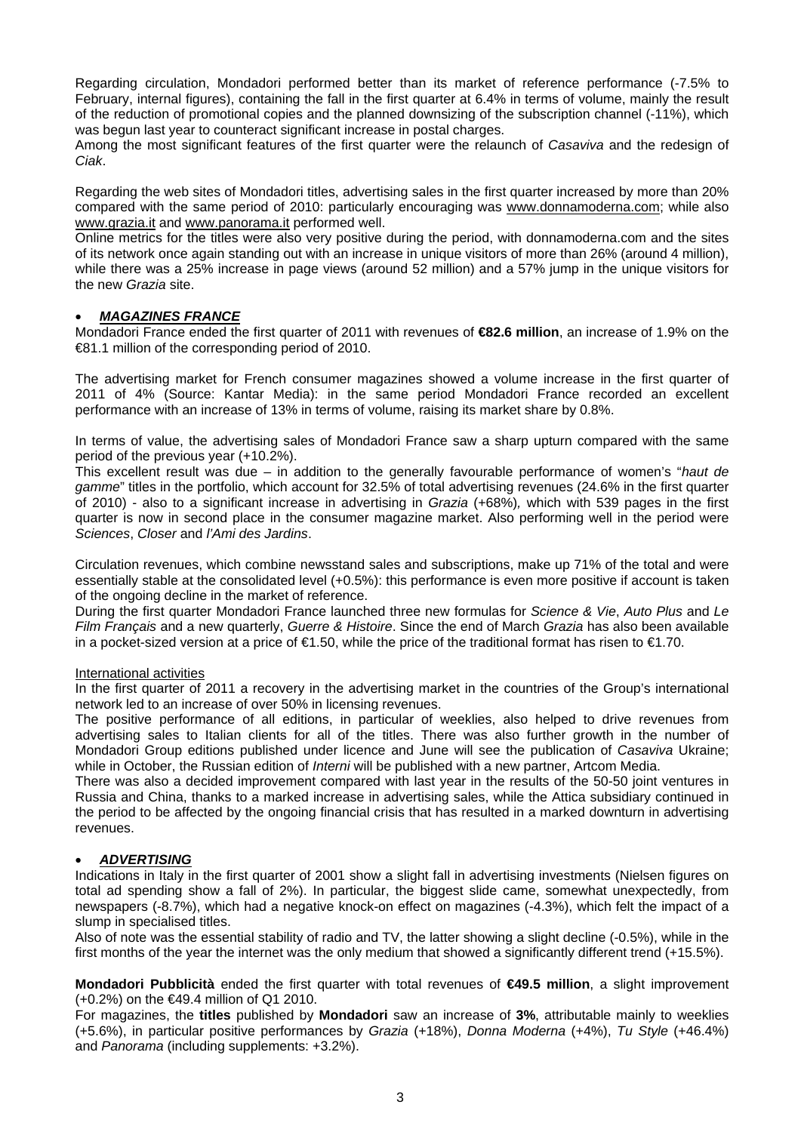Regarding circulation, Mondadori performed better than its market of reference performance (-7.5% to February, internal figures), containing the fall in the first quarter at 6.4% in terms of volume, mainly the result of the reduction of promotional copies and the planned downsizing of the subscription channel (-11%), which was begun last year to counteract significant increase in postal charges.

Among the most significant features of the first quarter were the relaunch of *Casaviva* and the redesign of *Ciak*.

Regarding the web sites of Mondadori titles, advertising sales in the first quarter increased by more than 20% compared with the same period of 2010: particularly encouraging was [www.donnamoderna.com;](http://www.donnamoderna.com/) while also [www.grazia.it](http://www.grazia.it/) and [www.panorama.it](http://www.panorama.it/) performed well.

Online metrics for the titles were also very positive during the period, with donnamoderna.com and the sites of its network once again standing out with an increase in unique visitors of more than 26% (around 4 million), while there was a 25% increase in page views (around 52 million) and a 57% jump in the unique visitors for the new *Grazia* site.

# • *MAGAZINES FRANCE*

Mondadori France ended the first quarter of 2011 with revenues of **€82.6 million**, an increase of 1.9% on the €81.1 million of the corresponding period of 2010.

The advertising market for French consumer magazines showed a volume increase in the first quarter of 2011 of 4% (Source: Kantar Media): in the same period Mondadori France recorded an excellent performance with an increase of 13% in terms of volume, raising its market share by 0.8%.

In terms of value, the advertising sales of Mondadori France saw a sharp upturn compared with the same period of the previous year (+10.2%).

This excellent result was due – in addition to the generally favourable performance of women's "*haut de gamme*" titles in the portfolio, which account for 32.5% of total advertising revenues (24.6% in the first quarter of 2010) - also to a significant increase in advertising in *Grazia* (+68%)*,* which with 539 pages in the first quarter is now in second place in the consumer magazine market. Also performing well in the period were *Sciences*, *Closer* and *l'Ami des Jardins*.

Circulation revenues, which combine newsstand sales and subscriptions, make up 71% of the total and were essentially stable at the consolidated level (+0.5%): this performance is even more positive if account is taken of the ongoing decline in the market of reference.

During the first quarter Mondadori France launched three new formulas for *Science & Vie*, *Auto Plus* and *Le Film Français* and a new quarterly, *Guerre & Histoire*. Since the end of March *Grazia* has also been available in a pocket-sized version at a price of €1.50, while the price of the traditional format has risen to €1.70.

### International activities

In the first quarter of 2011 a recovery in the advertising market in the countries of the Group's international network led to an increase of over 50% in licensing revenues.

The positive performance of all editions, in particular of weeklies, also helped to drive revenues from advertising sales to Italian clients for all of the titles. There was also further growth in the number of Mondadori Group editions published under licence and June will see the publication of *Casaviva* Ukraine; while in October, the Russian edition of *Interni* will be published with a new partner, Artcom Media.

There was also a decided improvement compared with last year in the results of the 50-50 joint ventures in Russia and China, thanks to a marked increase in advertising sales, while the Attica subsidiary continued in the period to be affected by the ongoing financial crisis that has resulted in a marked downturn in advertising revenues.

# • *ADVERTISING*

Indications in Italy in the first quarter of 2001 show a slight fall in advertising investments (Nielsen figures on total ad spending show a fall of 2%). In particular, the biggest slide came, somewhat unexpectedly, from newspapers (-8.7%), which had a negative knock-on effect on magazines (-4.3%), which felt the impact of a slump in specialised titles.

Also of note was the essential stability of radio and TV, the latter showing a slight decline (-0.5%), while in the first months of the year the internet was the only medium that showed a significantly different trend (+15.5%).

**Mondadori Pubblicità** ended the first quarter with total revenues of **€49.5 million**, a slight improvement (+0.2%) on the €49.4 million of Q1 2010.

For magazines, the **titles** published by **Mondadori** saw an increase of **3%**, attributable mainly to weeklies (+5.6%), in particular positive performances by *Grazia* (+18%), *Donna Moderna* (+4%), *Tu Style* (+46.4%) and *Panorama* (including supplements: +3.2%).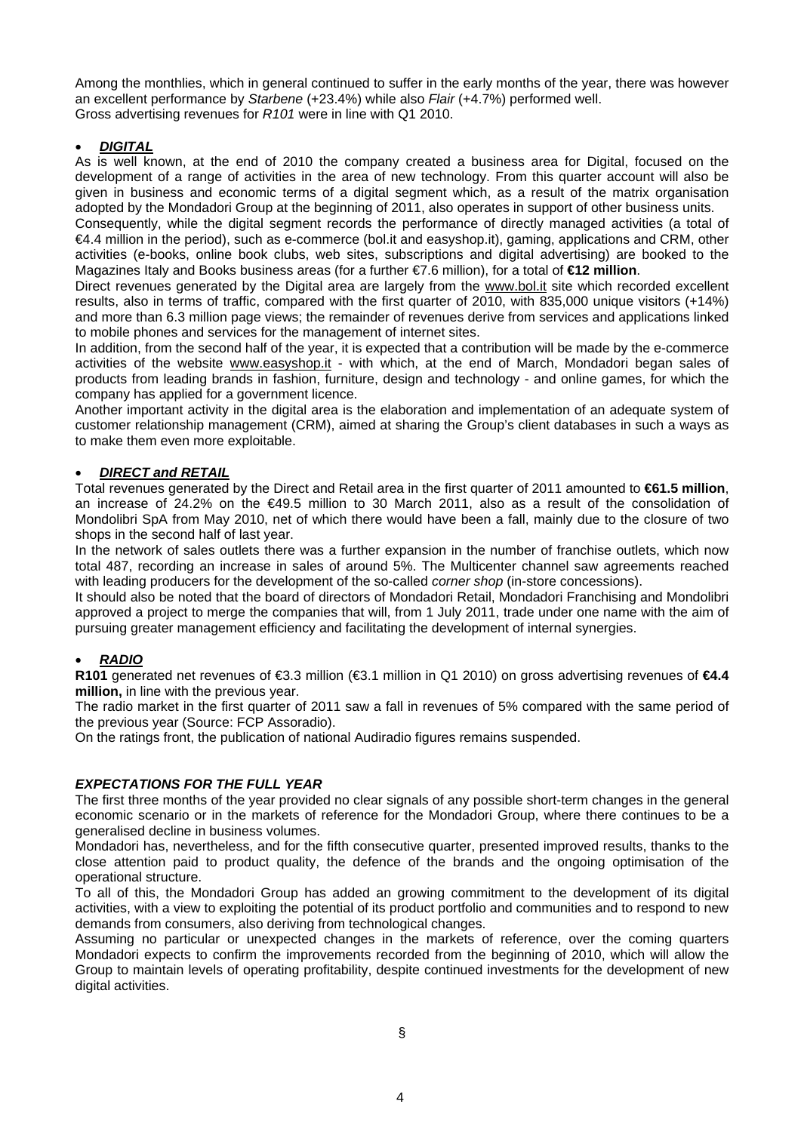Among the monthlies, which in general continued to suffer in the early months of the year, there was however an excellent performance by *Starbene* (+23.4%) while also *Flair* (+4.7%) performed well. Gross advertising revenues for *R101* were in line with Q1 2010.

# • *DIGITAL*

As is well known, at the end of 2010 the company created a business area for Digital, focused on the development of a range of activities in the area of new technology. From this quarter account will also be given in business and economic terms of a digital segment which, as a result of the matrix organisation adopted by the Mondadori Group at the beginning of 2011, also operates in support of other business units.

Consequently, while the digital segment records the performance of directly managed activities (a total of €4.4 million in the period), such as e-commerce (bol.it and easyshop.it), gaming, applications and CRM, other activities (e-books, online book clubs, web sites, subscriptions and digital advertising) are booked to the Magazines Italy and Books business areas (for a further €7.6 million), for a total of **€12 million**.

Direct revenues generated by the Digital area are largely from the [www.bol.it](http://www.bol.it/) site which recorded excellent results, also in terms of traffic, compared with the first quarter of 2010, with 835,000 unique visitors (+14%) and more than 6.3 million page views; the remainder of revenues derive from services and applications linked to mobile phones and services for the management of internet sites.

In addition, from the second half of the year, it is expected that a contribution will be made by the e-commerce activities of the website [www.easyshop.it](http://www.easyshop.it/) - with which, at the end of March, Mondadori began sales of products from leading brands in fashion, furniture, design and technology - and online games, for which the company has applied for a government licence.

Another important activity in the digital area is the elaboration and implementation of an adequate system of customer relationship management (CRM), aimed at sharing the Group's client databases in such a ways as to make them even more exploitable.

# • *DIRECT and RETAIL*

Total revenues generated by the Direct and Retail area in the first quarter of 2011 amounted to **€61.5 million**, an increase of 24.2% on the €49.5 million to 30 March 2011, also as a result of the consolidation of Mondolibri SpA from May 2010, net of which there would have been a fall, mainly due to the closure of two shops in the second half of last year.

In the network of sales outlets there was a further expansion in the number of franchise outlets, which now total 487, recording an increase in sales of around 5%. The Multicenter channel saw agreements reached with leading producers for the development of the so-called *corner shop* (in-store concessions).

It should also be noted that the board of directors of Mondadori Retail, Mondadori Franchising and Mondolibri approved a project to merge the companies that will, from 1 July 2011, trade under one name with the aim of pursuing greater management efficiency and facilitating the development of internal synergies.

# • *RADIO*

**R101** generated net revenues of €3.3 million (€3.1 million in Q1 2010) on gross advertising revenues of **€4.4 million,** in line with the previous year.

The radio market in the first quarter of 2011 saw a fall in revenues of 5% compared with the same period of the previous year (Source: FCP Assoradio).

On the ratings front, the publication of national Audiradio figures remains suspended.

# *EXPECTATIONS FOR THE FULL YEAR*

The first three months of the year provided no clear signals of any possible short-term changes in the general economic scenario or in the markets of reference for the Mondadori Group, where there continues to be a generalised decline in business volumes.

Mondadori has, nevertheless, and for the fifth consecutive quarter, presented improved results, thanks to the close attention paid to product quality, the defence of the brands and the ongoing optimisation of the operational structure.

To all of this, the Mondadori Group has added an growing commitment to the development of its digital activities, with a view to exploiting the potential of its product portfolio and communities and to respond to new demands from consumers, also deriving from technological changes.

Assuming no particular or unexpected changes in the markets of reference, over the coming quarters Mondadori expects to confirm the improvements recorded from the beginning of 2010, which will allow the Group to maintain levels of operating profitability, despite continued investments for the development of new digital activities.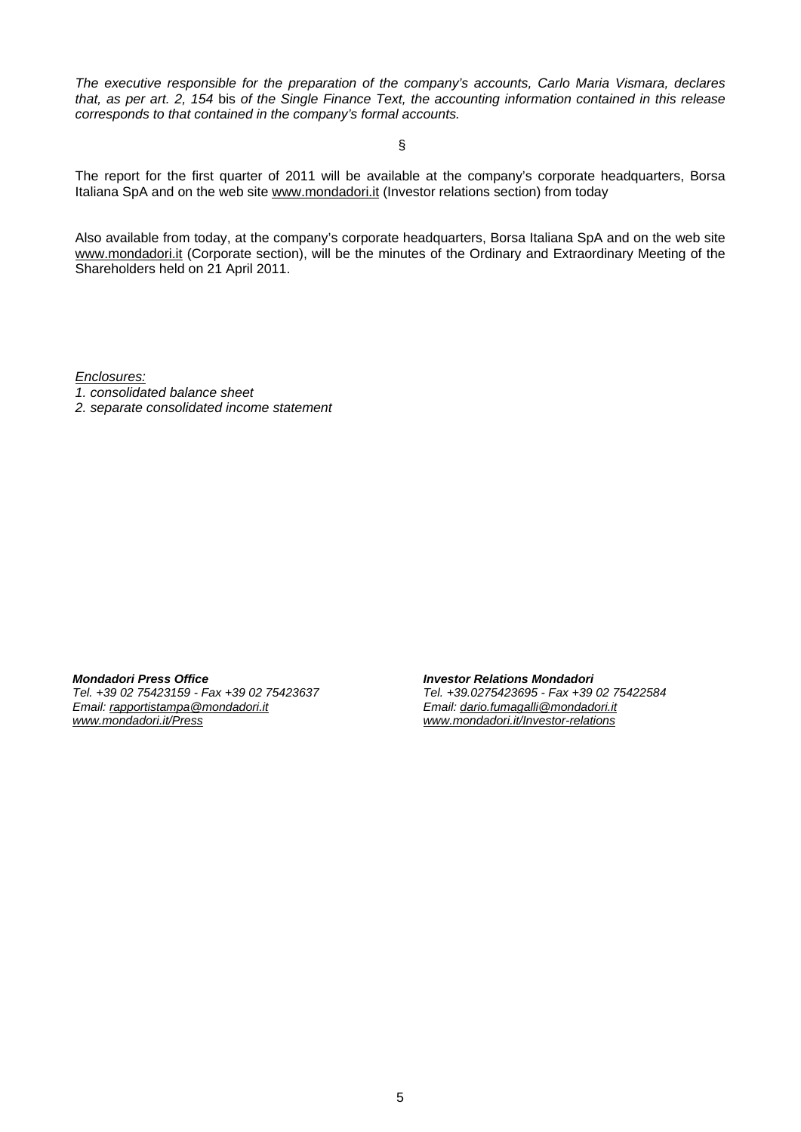*The executive responsible for the preparation of the company's accounts, Carlo Maria Vismara, declares that, as per art. 2, 154* bis *of the Single Finance Text, the accounting information contained in this release corresponds to that contained in the company's formal accounts.* 

§

The report for the first quarter of 2011 will be available at the company's corporate headquarters, Borsa Italiana SpA and on the web site [www.mondadori.it](http://www.mondadori.it/) (Investor relations section) from today

Also available from today, at the company's corporate headquarters, Borsa Italiana SpA and on the web site [www.mondadori.it](http://www.mondadori.it/) (Corporate section), will be the minutes of the Ordinary and Extraordinary Meeting of the Shareholders held on 21 April 2011.

*Enclosures:*

- *1. consolidated balance sheet*
- *2. separate consolidated income statement*

*Mondadori Press Office Tel. +39 02 75423159 - Fax +39 02 75423637 Email: [rapportistampa@mondadori.it](mailto:rapportistampa@mondadori.it) [www.mondadori.it/Press](http://www.mondadori.it/Press)*

*Investor Relations Mondadori Tel. +39.0275423695 - Fax +39 02 75422584 Email: [dario.fumagalli@mondadori.it](mailto:dario.fumagalli@mondadori.it) [www.mondadori.it/Investor-relations](http://www.mondadori.it/Investor-relations)*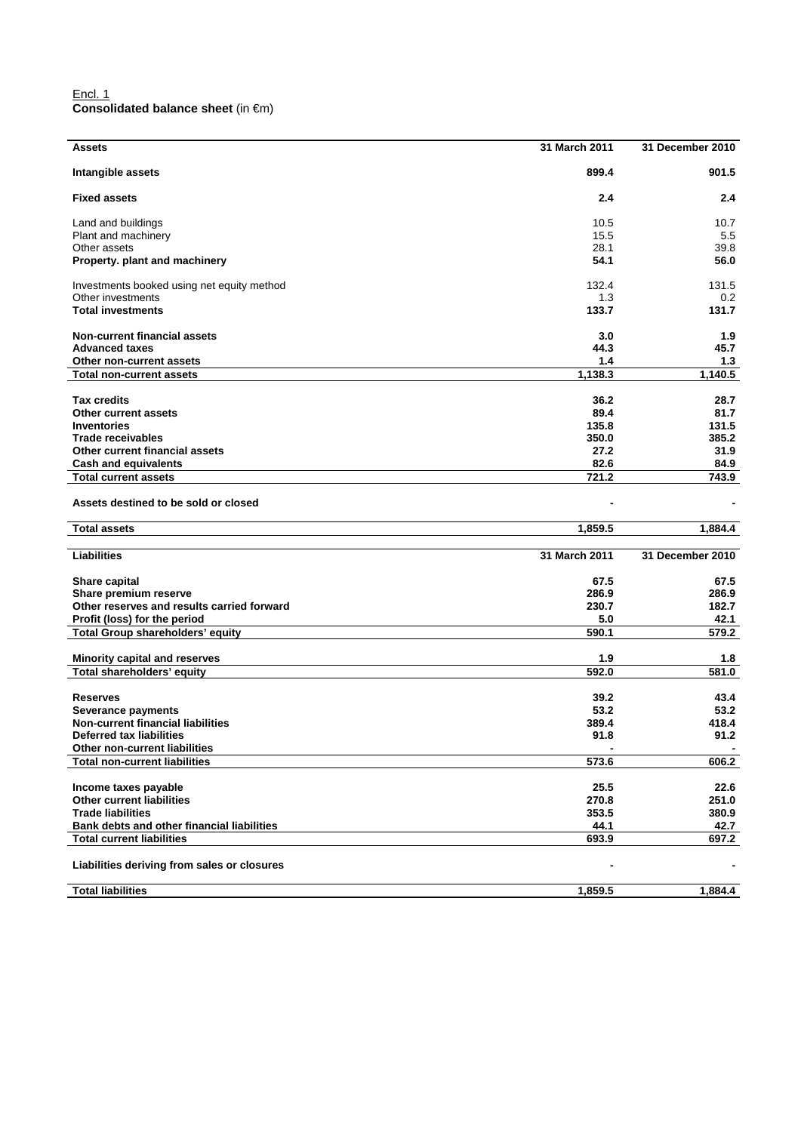### Encl. 1 **Consolidated balance sheet** (in €m)

| 899.4<br>901.5<br>Intangible assets<br><b>Fixed assets</b><br>2.4<br>2.4<br>10.5<br>Land and buildings<br>10.7<br>Plant and machinery<br>15.5<br>5.5<br>28.1<br>39.8<br>Other assets<br>54.1<br>56.0<br>Property. plant and machinery<br>132.4<br>131.5<br>Investments booked using net equity method<br>1.3<br>Other investments<br>0.2<br><b>Total investments</b><br>133.7<br>131.7<br><b>Non-current financial assets</b><br>3.0<br>1.9<br><b>Advanced taxes</b><br>44.3<br>45.7<br>1.4<br>Other non-current assets<br>1.3<br>1,138.3<br>1,140.5<br><b>Total non-current assets</b><br><b>Tax credits</b><br>36.2<br>28.7<br>89.4<br>81.7<br><b>Other current assets</b><br><b>Inventories</b><br>135.8<br>131.5<br><b>Trade receivables</b><br>350.0<br>385.2<br>27.2<br><b>Other current financial assets</b><br>31.9<br>82.6<br><b>Cash and equivalents</b><br>84.9<br>721.2<br><b>Total current assets</b><br>743.9<br>Assets destined to be sold or closed<br>1,859.5<br><b>Total assets</b><br>1,884.4<br><b>Liabilities</b><br>31 March 2011<br>31 December 2010<br>Share capital<br>67.5<br>67.5<br>Share premium reserve<br>286.9<br>286.9<br>Other reserves and results carried forward<br>230.7<br>182.7<br>5.0<br>Profit (loss) for the period<br>42.1<br><b>Total Group shareholders' equity</b><br>590.1<br>579.2<br><b>Minority capital and reserves</b><br>1.9<br>1.8<br>Total shareholders' equity<br>592.0<br>581.0<br><b>Reserves</b><br>39.2<br>43.4<br>53.2<br>53.2<br>Severance payments<br>Non-current financial liabilities<br>389.4<br>418.4<br>91.8<br>91.2<br><b>Deferred tax liabilities</b><br>Other non-current liabilities<br>$\blacksquare$<br>٠<br>573.6<br>606.2<br><b>Total non-current liabilities</b><br>Income taxes payable<br>25.5<br>22.6<br>270.8<br><b>Other current liabilities</b><br>251.0<br><b>Trade liabilities</b><br>353.5<br>380.9 | <b>Assets</b>                              | 31 March 2011 | 31 December 2010 |
|--------------------------------------------------------------------------------------------------------------------------------------------------------------------------------------------------------------------------------------------------------------------------------------------------------------------------------------------------------------------------------------------------------------------------------------------------------------------------------------------------------------------------------------------------------------------------------------------------------------------------------------------------------------------------------------------------------------------------------------------------------------------------------------------------------------------------------------------------------------------------------------------------------------------------------------------------------------------------------------------------------------------------------------------------------------------------------------------------------------------------------------------------------------------------------------------------------------------------------------------------------------------------------------------------------------------------------------------------------------------------------------------------------------------------------------------------------------------------------------------------------------------------------------------------------------------------------------------------------------------------------------------------------------------------------------------------------------------------------------------------------------------------------------------------------------------------------------------------------------------------------------------|--------------------------------------------|---------------|------------------|
|                                                                                                                                                                                                                                                                                                                                                                                                                                                                                                                                                                                                                                                                                                                                                                                                                                                                                                                                                                                                                                                                                                                                                                                                                                                                                                                                                                                                                                                                                                                                                                                                                                                                                                                                                                                                                                                                                            |                                            |               |                  |
|                                                                                                                                                                                                                                                                                                                                                                                                                                                                                                                                                                                                                                                                                                                                                                                                                                                                                                                                                                                                                                                                                                                                                                                                                                                                                                                                                                                                                                                                                                                                                                                                                                                                                                                                                                                                                                                                                            |                                            |               |                  |
|                                                                                                                                                                                                                                                                                                                                                                                                                                                                                                                                                                                                                                                                                                                                                                                                                                                                                                                                                                                                                                                                                                                                                                                                                                                                                                                                                                                                                                                                                                                                                                                                                                                                                                                                                                                                                                                                                            |                                            |               |                  |
|                                                                                                                                                                                                                                                                                                                                                                                                                                                                                                                                                                                                                                                                                                                                                                                                                                                                                                                                                                                                                                                                                                                                                                                                                                                                                                                                                                                                                                                                                                                                                                                                                                                                                                                                                                                                                                                                                            |                                            |               |                  |
|                                                                                                                                                                                                                                                                                                                                                                                                                                                                                                                                                                                                                                                                                                                                                                                                                                                                                                                                                                                                                                                                                                                                                                                                                                                                                                                                                                                                                                                                                                                                                                                                                                                                                                                                                                                                                                                                                            |                                            |               |                  |
|                                                                                                                                                                                                                                                                                                                                                                                                                                                                                                                                                                                                                                                                                                                                                                                                                                                                                                                                                                                                                                                                                                                                                                                                                                                                                                                                                                                                                                                                                                                                                                                                                                                                                                                                                                                                                                                                                            |                                            |               |                  |
|                                                                                                                                                                                                                                                                                                                                                                                                                                                                                                                                                                                                                                                                                                                                                                                                                                                                                                                                                                                                                                                                                                                                                                                                                                                                                                                                                                                                                                                                                                                                                                                                                                                                                                                                                                                                                                                                                            |                                            |               |                  |
|                                                                                                                                                                                                                                                                                                                                                                                                                                                                                                                                                                                                                                                                                                                                                                                                                                                                                                                                                                                                                                                                                                                                                                                                                                                                                                                                                                                                                                                                                                                                                                                                                                                                                                                                                                                                                                                                                            |                                            |               |                  |
|                                                                                                                                                                                                                                                                                                                                                                                                                                                                                                                                                                                                                                                                                                                                                                                                                                                                                                                                                                                                                                                                                                                                                                                                                                                                                                                                                                                                                                                                                                                                                                                                                                                                                                                                                                                                                                                                                            |                                            |               |                  |
|                                                                                                                                                                                                                                                                                                                                                                                                                                                                                                                                                                                                                                                                                                                                                                                                                                                                                                                                                                                                                                                                                                                                                                                                                                                                                                                                                                                                                                                                                                                                                                                                                                                                                                                                                                                                                                                                                            |                                            |               |                  |
|                                                                                                                                                                                                                                                                                                                                                                                                                                                                                                                                                                                                                                                                                                                                                                                                                                                                                                                                                                                                                                                                                                                                                                                                                                                                                                                                                                                                                                                                                                                                                                                                                                                                                                                                                                                                                                                                                            |                                            |               |                  |
|                                                                                                                                                                                                                                                                                                                                                                                                                                                                                                                                                                                                                                                                                                                                                                                                                                                                                                                                                                                                                                                                                                                                                                                                                                                                                                                                                                                                                                                                                                                                                                                                                                                                                                                                                                                                                                                                                            |                                            |               |                  |
|                                                                                                                                                                                                                                                                                                                                                                                                                                                                                                                                                                                                                                                                                                                                                                                                                                                                                                                                                                                                                                                                                                                                                                                                                                                                                                                                                                                                                                                                                                                                                                                                                                                                                                                                                                                                                                                                                            |                                            |               |                  |
|                                                                                                                                                                                                                                                                                                                                                                                                                                                                                                                                                                                                                                                                                                                                                                                                                                                                                                                                                                                                                                                                                                                                                                                                                                                                                                                                                                                                                                                                                                                                                                                                                                                                                                                                                                                                                                                                                            |                                            |               |                  |
|                                                                                                                                                                                                                                                                                                                                                                                                                                                                                                                                                                                                                                                                                                                                                                                                                                                                                                                                                                                                                                                                                                                                                                                                                                                                                                                                                                                                                                                                                                                                                                                                                                                                                                                                                                                                                                                                                            |                                            |               |                  |
|                                                                                                                                                                                                                                                                                                                                                                                                                                                                                                                                                                                                                                                                                                                                                                                                                                                                                                                                                                                                                                                                                                                                                                                                                                                                                                                                                                                                                                                                                                                                                                                                                                                                                                                                                                                                                                                                                            |                                            |               |                  |
|                                                                                                                                                                                                                                                                                                                                                                                                                                                                                                                                                                                                                                                                                                                                                                                                                                                                                                                                                                                                                                                                                                                                                                                                                                                                                                                                                                                                                                                                                                                                                                                                                                                                                                                                                                                                                                                                                            |                                            |               |                  |
|                                                                                                                                                                                                                                                                                                                                                                                                                                                                                                                                                                                                                                                                                                                                                                                                                                                                                                                                                                                                                                                                                                                                                                                                                                                                                                                                                                                                                                                                                                                                                                                                                                                                                                                                                                                                                                                                                            |                                            |               |                  |
|                                                                                                                                                                                                                                                                                                                                                                                                                                                                                                                                                                                                                                                                                                                                                                                                                                                                                                                                                                                                                                                                                                                                                                                                                                                                                                                                                                                                                                                                                                                                                                                                                                                                                                                                                                                                                                                                                            |                                            |               |                  |
|                                                                                                                                                                                                                                                                                                                                                                                                                                                                                                                                                                                                                                                                                                                                                                                                                                                                                                                                                                                                                                                                                                                                                                                                                                                                                                                                                                                                                                                                                                                                                                                                                                                                                                                                                                                                                                                                                            |                                            |               |                  |
|                                                                                                                                                                                                                                                                                                                                                                                                                                                                                                                                                                                                                                                                                                                                                                                                                                                                                                                                                                                                                                                                                                                                                                                                                                                                                                                                                                                                                                                                                                                                                                                                                                                                                                                                                                                                                                                                                            |                                            |               |                  |
|                                                                                                                                                                                                                                                                                                                                                                                                                                                                                                                                                                                                                                                                                                                                                                                                                                                                                                                                                                                                                                                                                                                                                                                                                                                                                                                                                                                                                                                                                                                                                                                                                                                                                                                                                                                                                                                                                            |                                            |               |                  |
|                                                                                                                                                                                                                                                                                                                                                                                                                                                                                                                                                                                                                                                                                                                                                                                                                                                                                                                                                                                                                                                                                                                                                                                                                                                                                                                                                                                                                                                                                                                                                                                                                                                                                                                                                                                                                                                                                            |                                            |               |                  |
|                                                                                                                                                                                                                                                                                                                                                                                                                                                                                                                                                                                                                                                                                                                                                                                                                                                                                                                                                                                                                                                                                                                                                                                                                                                                                                                                                                                                                                                                                                                                                                                                                                                                                                                                                                                                                                                                                            |                                            |               |                  |
|                                                                                                                                                                                                                                                                                                                                                                                                                                                                                                                                                                                                                                                                                                                                                                                                                                                                                                                                                                                                                                                                                                                                                                                                                                                                                                                                                                                                                                                                                                                                                                                                                                                                                                                                                                                                                                                                                            |                                            |               |                  |
|                                                                                                                                                                                                                                                                                                                                                                                                                                                                                                                                                                                                                                                                                                                                                                                                                                                                                                                                                                                                                                                                                                                                                                                                                                                                                                                                                                                                                                                                                                                                                                                                                                                                                                                                                                                                                                                                                            |                                            |               |                  |
|                                                                                                                                                                                                                                                                                                                                                                                                                                                                                                                                                                                                                                                                                                                                                                                                                                                                                                                                                                                                                                                                                                                                                                                                                                                                                                                                                                                                                                                                                                                                                                                                                                                                                                                                                                                                                                                                                            |                                            |               |                  |
|                                                                                                                                                                                                                                                                                                                                                                                                                                                                                                                                                                                                                                                                                                                                                                                                                                                                                                                                                                                                                                                                                                                                                                                                                                                                                                                                                                                                                                                                                                                                                                                                                                                                                                                                                                                                                                                                                            |                                            |               |                  |
|                                                                                                                                                                                                                                                                                                                                                                                                                                                                                                                                                                                                                                                                                                                                                                                                                                                                                                                                                                                                                                                                                                                                                                                                                                                                                                                                                                                                                                                                                                                                                                                                                                                                                                                                                                                                                                                                                            |                                            |               |                  |
|                                                                                                                                                                                                                                                                                                                                                                                                                                                                                                                                                                                                                                                                                                                                                                                                                                                                                                                                                                                                                                                                                                                                                                                                                                                                                                                                                                                                                                                                                                                                                                                                                                                                                                                                                                                                                                                                                            |                                            |               |                  |
|                                                                                                                                                                                                                                                                                                                                                                                                                                                                                                                                                                                                                                                                                                                                                                                                                                                                                                                                                                                                                                                                                                                                                                                                                                                                                                                                                                                                                                                                                                                                                                                                                                                                                                                                                                                                                                                                                            |                                            |               |                  |
|                                                                                                                                                                                                                                                                                                                                                                                                                                                                                                                                                                                                                                                                                                                                                                                                                                                                                                                                                                                                                                                                                                                                                                                                                                                                                                                                                                                                                                                                                                                                                                                                                                                                                                                                                                                                                                                                                            |                                            |               |                  |
|                                                                                                                                                                                                                                                                                                                                                                                                                                                                                                                                                                                                                                                                                                                                                                                                                                                                                                                                                                                                                                                                                                                                                                                                                                                                                                                                                                                                                                                                                                                                                                                                                                                                                                                                                                                                                                                                                            |                                            |               |                  |
|                                                                                                                                                                                                                                                                                                                                                                                                                                                                                                                                                                                                                                                                                                                                                                                                                                                                                                                                                                                                                                                                                                                                                                                                                                                                                                                                                                                                                                                                                                                                                                                                                                                                                                                                                                                                                                                                                            |                                            |               |                  |
|                                                                                                                                                                                                                                                                                                                                                                                                                                                                                                                                                                                                                                                                                                                                                                                                                                                                                                                                                                                                                                                                                                                                                                                                                                                                                                                                                                                                                                                                                                                                                                                                                                                                                                                                                                                                                                                                                            |                                            |               |                  |
|                                                                                                                                                                                                                                                                                                                                                                                                                                                                                                                                                                                                                                                                                                                                                                                                                                                                                                                                                                                                                                                                                                                                                                                                                                                                                                                                                                                                                                                                                                                                                                                                                                                                                                                                                                                                                                                                                            |                                            |               |                  |
|                                                                                                                                                                                                                                                                                                                                                                                                                                                                                                                                                                                                                                                                                                                                                                                                                                                                                                                                                                                                                                                                                                                                                                                                                                                                                                                                                                                                                                                                                                                                                                                                                                                                                                                                                                                                                                                                                            |                                            |               |                  |
|                                                                                                                                                                                                                                                                                                                                                                                                                                                                                                                                                                                                                                                                                                                                                                                                                                                                                                                                                                                                                                                                                                                                                                                                                                                                                                                                                                                                                                                                                                                                                                                                                                                                                                                                                                                                                                                                                            |                                            |               |                  |
|                                                                                                                                                                                                                                                                                                                                                                                                                                                                                                                                                                                                                                                                                                                                                                                                                                                                                                                                                                                                                                                                                                                                                                                                                                                                                                                                                                                                                                                                                                                                                                                                                                                                                                                                                                                                                                                                                            |                                            |               |                  |
|                                                                                                                                                                                                                                                                                                                                                                                                                                                                                                                                                                                                                                                                                                                                                                                                                                                                                                                                                                                                                                                                                                                                                                                                                                                                                                                                                                                                                                                                                                                                                                                                                                                                                                                                                                                                                                                                                            |                                            |               |                  |
|                                                                                                                                                                                                                                                                                                                                                                                                                                                                                                                                                                                                                                                                                                                                                                                                                                                                                                                                                                                                                                                                                                                                                                                                                                                                                                                                                                                                                                                                                                                                                                                                                                                                                                                                                                                                                                                                                            |                                            |               |                  |
|                                                                                                                                                                                                                                                                                                                                                                                                                                                                                                                                                                                                                                                                                                                                                                                                                                                                                                                                                                                                                                                                                                                                                                                                                                                                                                                                                                                                                                                                                                                                                                                                                                                                                                                                                                                                                                                                                            |                                            |               |                  |
|                                                                                                                                                                                                                                                                                                                                                                                                                                                                                                                                                                                                                                                                                                                                                                                                                                                                                                                                                                                                                                                                                                                                                                                                                                                                                                                                                                                                                                                                                                                                                                                                                                                                                                                                                                                                                                                                                            |                                            |               |                  |
|                                                                                                                                                                                                                                                                                                                                                                                                                                                                                                                                                                                                                                                                                                                                                                                                                                                                                                                                                                                                                                                                                                                                                                                                                                                                                                                                                                                                                                                                                                                                                                                                                                                                                                                                                                                                                                                                                            | Bank debts and other financial liabilities | 44.1          | 42.7             |
| <b>Total current liabilities</b><br>693.9<br>697.2                                                                                                                                                                                                                                                                                                                                                                                                                                                                                                                                                                                                                                                                                                                                                                                                                                                                                                                                                                                                                                                                                                                                                                                                                                                                                                                                                                                                                                                                                                                                                                                                                                                                                                                                                                                                                                         |                                            |               |                  |
| Liabilities deriving from sales or closures                                                                                                                                                                                                                                                                                                                                                                                                                                                                                                                                                                                                                                                                                                                                                                                                                                                                                                                                                                                                                                                                                                                                                                                                                                                                                                                                                                                                                                                                                                                                                                                                                                                                                                                                                                                                                                                |                                            |               |                  |
| <b>Total liabilities</b><br>1,859.5<br>1,884.4                                                                                                                                                                                                                                                                                                                                                                                                                                                                                                                                                                                                                                                                                                                                                                                                                                                                                                                                                                                                                                                                                                                                                                                                                                                                                                                                                                                                                                                                                                                                                                                                                                                                                                                                                                                                                                             |                                            |               |                  |